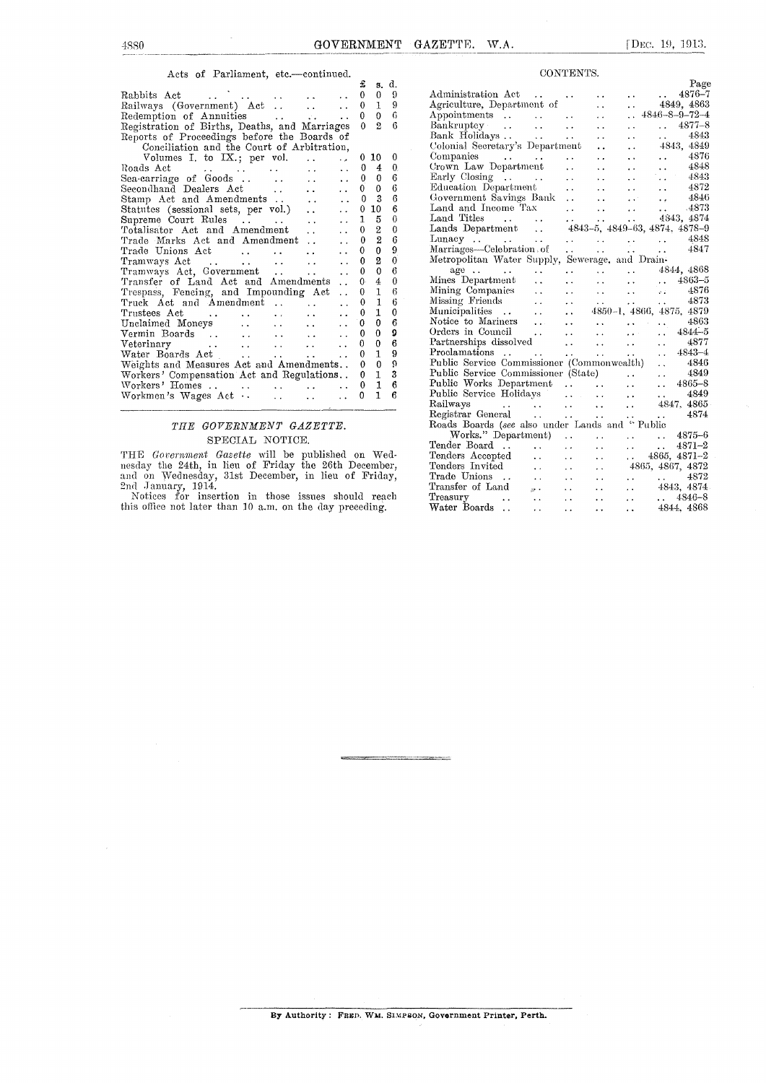#### Acts of Parliament, etc.—continued.

|                                                                               | £        | 8.             | d.          |
|-------------------------------------------------------------------------------|----------|----------------|-------------|
| Rabbits Act                                                                   | 0        | $\overline{0}$ | 9           |
| Railways (Government) Act<br>a a c                                            | 0        | 1              | 9           |
| Redemption of Annuities<br>$\ddot{\phantom{0}}$                               | 0        | $\theta$       | 6           |
| Registration of Births, Deaths, and Marriages                                 | $\theta$ | $\overline{2}$ | 6           |
| Reports of Proceedings before the Boards of                                   |          |                |             |
| Conciliation and the Court of Arbitration,                                    |          |                |             |
| Volumes I. to IX.; per vol.                                                   |          | 0 10           | 0           |
| Roads Act<br>$\ddot{\phantom{0}}$                                             | 0        | 4              | 0.          |
| Sea-carriage of Goods<br>$\mathbf{r}$<br>$\ddot{\phantom{0}}$                 | 0        | 0              | 6           |
| Secondhand Dealers Act                                                        | 0        | $\theta$       | 6           |
| Stamp Act and Amendments<br>$\ddot{\phantom{a}}$                              | $\theta$ | 3              | 6           |
| Statutes (sessional sets, per vol.)<br>$\ddot{\phantom{0}}$                   | 0        | 10             | 6           |
| Supreme Court Rules<br>$\ddot{\phantom{a}}$                                   | 1        | 5              | $\mathbf 0$ |
| Totalisator Act and Amendment<br>$\ddot{\phantom{0}}$                         | 0        | 2              | 0           |
| Trade Marks Act and Amendment<br>. .                                          | 0        | $\overline{2}$ | 6           |
| Trade Unions Act                                                              | 0        | $\overline{0}$ | 9           |
| Tramways Act<br>$\ddot{\phantom{0}}$<br>$\ddotsc$<br><b>Allen Controllers</b> | 0        | $\overline{2}$ | 0           |
| Tramways Act, Government<br>$\ddot{\phantom{0}}$<br>. .                       | 0        | $\mathbf 0$    | 6           |
| Transfer of Land Act and Amendments<br>$\ddot{\phantom{0}}$                   | 0.       | $\overline{4}$ | 0           |
| Trespass, Fencing, and Impounding Act<br>$\ddot{\phantom{0}}$                 | 0        | $\mathbf{I}$   | 6           |
| Truck Act and Amendment<br>$\ddot{\phantom{0}}$                               | 0        | 1              | 6           |
| Trustees Act                                                                  | 0        | $\mathbf{1}$   | 0           |
| Unclaimed Moneys                                                              | 0        | $\mathbf{0}$   | 6           |
| Vermin Boards<br>$\sim$<br>$\mathbf{L}$<br>$\ddotsc$                          | 0        | $\theta$       | 0           |
| Veterinary<br>$\ddot{\phantom{0}}$<br>$\ddot{\phantom{a}}$<br>$\ddotsc$       | 0        | $\bf{0}$       | 6           |
| Water Boards Act<br><b>Allen Control</b>                                      | 0        | $\mathbf{1}$   | 9           |
| Weights and Measures Act and Amendments                                       | 0        | $\mathbf{0}$   | ö           |
| Workers' Compensation Act and Regulations                                     | 0        | $\mathbf{I}$   | 3           |
| Workers' Homes                                                                | 0        | $\mathbf{1}$   | 6           |
| Workmen's Wages Act<br>٠.                                                     | 0        | $\mathbf{1}$   | 6           |
|                                                                               |          |                |             |

### *THE GOVERNMENT GAZETTE.*  SPECIAL NOTICE.

THE *Government Gazette* will be published on Wednesday the 24th, in lieu of Friday the 26th December, and on Wednesday, 31st December, in lieu of Friday, 2nd January, 1914.<br>
Notices for insertion in those issues should reach this office not later than 10 a.m. on the day preceding.

|                                                             |                                                           |                                                           |                                                    | Page                                                                                                        |
|-------------------------------------------------------------|-----------------------------------------------------------|-----------------------------------------------------------|----------------------------------------------------|-------------------------------------------------------------------------------------------------------------|
| Administration Act<br>$\mathbf{z}$ , and $\mathbf{z}$       | ÷.                                                        | . .                                                       | $\ddot{\phantom{1}}$                               | 4876-7<br>$\sim 10^{11}$ km s $^{-1}$                                                                       |
| Agriculture, Department of                                  |                                                           | $\ddot{\phantom{a}}$                                      | $\ddot{\phantom{0}}$                               | 4849,~4863                                                                                                  |
| Appointments                                                |                                                           | $\ddot{\phantom{0}}$                                      | $\ddot{\phantom{a}}$                               | $4846 - 8 - 9 - 72 - 4$                                                                                     |
| Bankruptey                                                  | $\ddot{\phantom{a}}$                                      | $\ddot{\phantom{a}}$                                      | $\ddot{\phantom{0}}$                               | $4877 - 8$<br>$\mathbf{L}$                                                                                  |
| Bank Holidays                                               | $\ddot{\phantom{a}}$                                      | . .                                                       | $\ddot{\phantom{0}}$                               | 4843<br><b>Alberta Control</b>                                                                              |
| Colonial Secretary's Department                             |                                                           | $\ddot{\phantom{0}}$                                      | $\ddot{\phantom{0}}$                               | 4843, 4849                                                                                                  |
| Companies $\cdots$ $\cdots$                                 | $\ddot{\phantom{1}}$                                      | . .                                                       | $\ddot{\phantom{0}}$                               | -4876<br>$\mathbf{r}$ and $\mathbf{r}$                                                                      |
| Crown Law Department                                        | $\ddot{\phantom{0}}$                                      | $\ddot{\phantom{0}}$                                      | $\ddot{\phantom{a}}$                               | $\ldots$ 4848                                                                                               |
| Early Closing $\dots$ .                                     | $\ddot{\phantom{0}}$                                      | . .                                                       | $\ddot{\phantom{a}}$                               | $\ldots$ 4843                                                                                               |
| Education Department                                        | . .                                                       | . .                                                       | $\cdots$                                           | $\ddotsc$                                                                                                   |
| Government Savings Bank                                     |                                                           |                                                           |                                                    | $\frac{4872}{4846}$                                                                                         |
| Land and Income Tax                                         |                                                           |                                                           |                                                    |                                                                                                             |
| Land Titles $\cdots$                                        |                                                           |                                                           |                                                    | $\begin{array}{ccccccccc}\n &  &  &  & 4846 \\  &  &  &  & .4873 \\ \hline\n &  & 4843 & 4874\n\end{array}$ |
| Lands Department                                            |                                                           |                                                           |                                                    | 4843-5, 4849-63, 4874, 4878-9                                                                               |
| Lunacy                                                      |                                                           |                                                           |                                                    | 4848                                                                                                        |
| Marriages-Celebration.of                                    |                                                           |                                                           | $\mathcal{L} = \mathcal{L} \times \mathcal{L}$     | 4847                                                                                                        |
| Metropolitan Water Supply, Sewerage, and Drain-             |                                                           |                                                           |                                                    |                                                                                                             |
| $age \dots$<br>$\ddot{\phantom{1}}$                         | $\ddot{\phantom{0}}$                                      |                                                           |                                                    | $\cdots$ $4844, 4868$                                                                                       |
| Mines Department<br>$\ddot{\phantom{a}}$                    | $\ddot{\phantom{0}}$                                      | $\ddotsc$                                                 |                                                    |                                                                                                             |
| Mining Companies<br>$\ddot{\phantom{a}}$                    | $\ddot{\phantom{0}}$                                      | $\ddotsc$                                                 | $\sim 10^{-1}$                                     | $\cdots$ $\cdots$ $4863-5$<br>$\ldots$ 4876                                                                 |
| Missing Friends<br>$\ddot{\phantom{a}}$                     | $\ddot{\phantom{0}}$                                      |                                                           |                                                    | $\ldots$ 4873                                                                                               |
| Municipalities<br>$\ddot{\phantom{0}}$                      | $\mathbb{R}^2$<br>$\ddot{\phantom{0}}$                    |                                                           |                                                    | 4850-1, 4866, 4875, 4879                                                                                    |
| Notice to Mariners<br>$\ddotsc$                             | $\ddot{\phantom{0}}$                                      |                                                           |                                                    | 4863                                                                                                        |
| Orders in Council                                           | $\ddotsc$                                                 | $\ddotsc$                                                 | $\sim 10^{11}$ mass $\sim 10^{11}$<br>$\mathbf{r}$ | $4844 - 5$<br>$\ddot{\phantom{a}}$                                                                          |
| $\sim 10^{-1}$<br>Partnerships dissolved                    | $\sim 10$                                                 |                                                           | $\ddotsc$                                          | 4877                                                                                                        |
| Proclamations                                               |                                                           | $\overline{\mathbf{r}}$ .                                 |                                                    | i.<br>$4843 - 4$                                                                                            |
| Proclamations<br>Public Service Commissioner (Commonwealth) | $\mathbf{r}$ , $\mathbf{r}$ , $\mathbf{r}$ , $\mathbf{r}$ | <b>Alberta College</b>                                    | $\mathbf{r}$ , $\mathbf{r}$                        | $\ddot{\phantom{0}}$                                                                                        |
| Public Service Commissioner (State)                         |                                                           |                                                           |                                                    | 4846<br>4849<br>$\ddot{\phantom{a}}$                                                                        |
| Public Works Department                                     |                                                           |                                                           |                                                    | $\bar{\psi}$<br>$4865 - 8$                                                                                  |
| Public Service Holidays                                     |                                                           |                                                           | $\ddotsc$                                          | $\ddot{\phantom{a}}$<br>4849                                                                                |
|                                                             |                                                           | $\mathbf{1}$ , $\mathbf{1}$ , $\mathbf{1}$ , $\mathbf{1}$ | $\ddot{\phantom{0}}$                               | $\mathbf{1}$                                                                                                |
| Railways<br>Registrar General<br>$\cdots$                   |                                                           |                                                           | $\ddot{\phantom{a}}$                               | 4847, 4865<br>4874                                                                                          |
|                                                             |                                                           |                                                           | $\mathbf{A}$                                       | $\mathbf{r}$ , $\mathbf{r}$                                                                                 |
| Roads Boards (see also under Lands and "Public              |                                                           |                                                           |                                                    |                                                                                                             |
| Works." Department)                                         |                                                           | $\ddot{\phantom{1}}$ .                                    |                                                    | $\ldots$ $\ldots$ 4875-6                                                                                    |
| Tender Board.<br>$\ddotsc$                                  | $\ddot{\phantom{0}}$                                      | $\ddot{\phantom{a}}$                                      | $\ddotsc$                                          | $4871 - 2$<br>$\sim 100$ km $^{-1}$                                                                         |
| Tenders Accepted<br>$\ddot{\phantom{a}}$                    | $\ddot{\phantom{0}}$                                      | . .                                                       |                                                    | $\ldots$ 4865, 4871-2                                                                                       |
| Tenders Invited<br>$\ddotsc$                                | $\ddot{\phantom{0}}$                                      | $\ddot{\phantom{0}}$                                      |                                                    | 4865, 4867, 4872                                                                                            |
| Trade Unions<br>$\sim$ .                                    | $\ddot{\phantom{0}}$                                      | . .                                                       | $\ddot{\phantom{0}}$                               | $\ldots$ 4872                                                                                               |
| Transfer of Land<br>$\sim$ $\mu$ .                          | $\ddot{\phantom{0}}$                                      |                                                           | $\ddot{\phantom{a}}$                               | 4843, 4874                                                                                                  |
| Treasury<br>Water Boards                                    | $\ddot{\phantom{0}}$                                      | . .                                                       | $\ddot{\phantom{a}}$                               | $. 4846 - 8$                                                                                                |
| $\ddot{\phantom{0}}$                                        | $\ddot{\phantom{0}}$                                      |                                                           | . .                                                | 4844, 4868                                                                                                  |

CONTENTS.